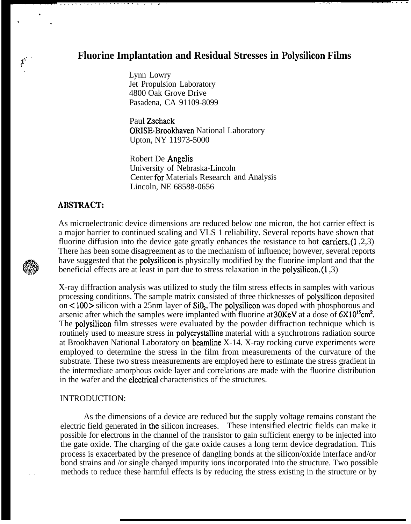# **Fluorine Implantation and Residual Stresses in Polysilicon Films**

,.. . .,, . . . . . . . .

Lynn Lowry Jet Propulsion Laboratory 4800 Oak Grove Drive Pasadena, CA 91109-8099

Paul Zschack ORISE-Brookhaven National Laboratory Upton, NY 11973-5000

Robert De Angelis University of Nebraska-Lincoln Center for Materials Research and Analysis Lincoln, NE 68588-0656

## **ABSTRACT:**

-.. . . . . . . . . . . . . . . . . . . . . . . .

.

.

>

,,. , **1' ! .,**

> As microelectronic device dimensions are reduced below one micron, the hot carrier effect is a major barrier to continued scaling and VLS 1 reliability. Several reports have shown that fluorine diffusion into the device gate greatly enhances the resistance to hot carriers.(1 ,2,3) There has been some disagreement as to the mechanism of influence; however, several reports have suggested that the polysilicon is physically modified by the fluorine implant and that the beneficial effects are at least in part due to stress relaxation in the polysilicon.(1 ,3)

> X-ray diffraction analysis was utilized to study the film stress effects in samples with various processing conditions. The sample matrix consisted of three thicknesses of polysilicon deposited on <100> silicon with a 25nm layer of SiQ. The polysilicon was doped with phosphorous and arsenic after which the samples were implanted with fluorine at  $30$ KeV at a dose of  $6X10^{15}$ cm<sup>2</sup>. The polysilicon film stresses were evaluated by the powder diffraction technique which is routinely used to measure stress in polycrystalline material with a synchrotrons radiation source at Brookhaven National Laboratory on beamline X-14. X-ray rocking curve experiments were employed to determine the stress in the film from measurements of the curvature of the substrate. These two stress measurements are employed here to estimate the stress gradient in the intermediate amorphous oxide layer and correlations are made with the fluorine distribution in the wafer and the **electrical** characteristics of the structures.

## INTRODUCTION:

As the dimensions of a device are reduced but the supply voltage remains constant the electric field generated in the silicon increases. These intensified electric fields can make it possible for electrons in the channel of the transistor to gain sufficient energy to be injected into the gate oxide. The charging of the gate oxide causes a long term device degradation. This process is exacerbated by the presence of dangling bonds at the silicon/oxide interface and/or bond strains and /or single charged impurity ions incorporated into the structure. Two possible methods to reduce these harmful effects is by reducing the stress existing in the structure or by



. .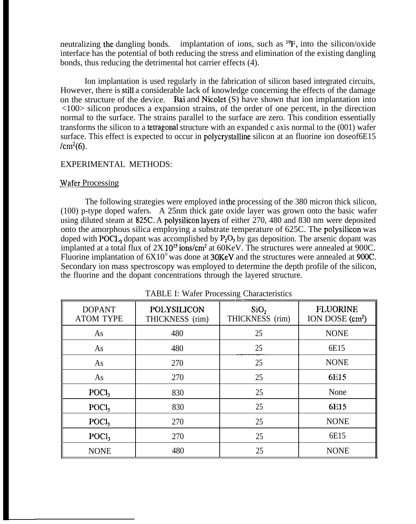neutralizing the dangling bonds. implantation of ions, such as  $^{19}F$ , into the silicon/oxide interface has the potential of both reducing the stress and elimination of the existing dangling bonds, thus reducing the detrimental hot carrier effects (4).

Ion implantation is used regularly in the fabrication of silicon based integrated circuits, However, there is still a considerable lack of knowledge concerning the effects of the damage on the structure of the device. Bai and Nicolet (S) have shown that ion implantation into <100> silicon produces a expansion strains, of the order of one percent, in the direction normal to the surface. The strains parallel to the surface are zero. This condition essentially transforms the silicon to a tetragonal structure with an expanded c axis normal to the (001) wafer surface. This effect is expected to occur in polycrystalline silicon at an fluorine ion doseof6E15  $/cm<sup>2</sup>(6)$ .

#### EXPERIMENTAL METHODS:

#### Wafer Processing

The following strategies were employed in the processing of the 380 micron thick silicon, (100) p-type doped wafers. A 25nm thick gate oxide layer was grown onto the basic wafer using diluted steam at 825C. A polysilicon layers of either 270, 480 and 830 nm were deposited onto the amorphous silica employing a substrate temperature of 625C. The polysilicon was doped with POCL, dopant was accomplished by  $P_2O_5$  by gas deposition. The arsenic dopant was implanted at a total flux of 2X 10<sup>15</sup> ions/cm<sup>2</sup> at 60KeV. The structures were annealed at 900C. Fluorine implantation of  $6X10^{\text{S}}$  was done at 30KeV and the structures were annealed at 900C. Secondary ion mass spectroscopy was employed to determine the depth profile of the silicon, the fluorine and the dopant concentrations through the layered structure.

| <b>DOPANT</b><br><b>ATOM TYPE</b> | POLYSILICON<br>THICKNESS (rim) | SiO <sub>2</sub><br>THICKNESS (rim) | <b>FLUORINE</b><br>ION DOSE (cm <sup>2</sup> ) |
|-----------------------------------|--------------------------------|-------------------------------------|------------------------------------------------|
| As                                | 480                            | 25                                  | <b>NONE</b>                                    |
| As                                | 480                            | 25                                  | 6E15                                           |
| As                                | 270                            | 25                                  | <b>NONE</b>                                    |
| As                                | 270                            | 25                                  | 6E15                                           |
| P OCl <sub>3</sub>                | 830                            | 25                                  | None                                           |
| POC <sub>1</sub>                  | 830                            | 25                                  | 6E15                                           |
| P OCl <sub>3</sub>                | 270                            | 25                                  | <b>NONE</b>                                    |
| $\text{POCI}_3$                   | 270                            | 25                                  | 6E15                                           |
| <b>NONE</b>                       | 480                            | 25                                  | <b>NONE</b>                                    |

TABLE I: Wafer Processing Characteristics lg Charac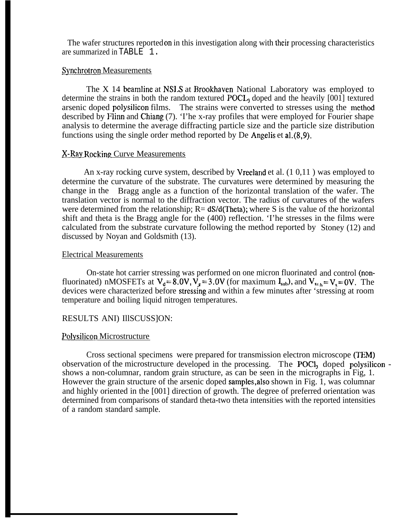The wafer structures reported on in this investigation along with their processing characteristics are summarized in TABLE 1.

#### Synchrotron Measurements

The X 14 beamline at NSLS at Brookhaven National Laboratory was employed to determine the strains in both the random textured  $POCL<sub>3</sub>$  doped and the heavily  $[001]$  textured arsenic doped polysilicon films. The strains were converted to stresses using the method described by Flinn and Chiang (7). 'I'he x-ray profiles that were employed for Fourier shape analysis to determine the average diffracting particle size and the particle size distribution functions using the single order method reported by De Angelis et al.(8,9).

## &.Rav Rocking Curve Measurements

An x-ray rocking curve system, described by Vreeland et al. (1 0,11 ) was employed to determine the curvature of the substrate. The curvatures were determined by measuring the change in the Bragg angle as a function of the horizontal translation of the wafer. The translation vector is normal to the diffraction vector. The radius of curvatures of the wafers were determined from the relationship;  $R = dS/d$ (Theta); where S is the value of the horizontal shift and theta is the Bragg angle for the (400) reflection. 'I'he stresses in the films were calculated from the substrate curvature following the method reported by Stoney (12) and discussed by Noyan and Goldsmith (13).

#### Electrical Measurements

On-state hot carrier stressing was performed on one micron fluorinated and control (non fluorinated) nMOSFETs at  $V_d = 8.0V, V_g = 3.0V$  (for maximum  $I_{sub}$ ), and  $V_{sub} = V_s = 0V$ . The devices were characterized before stressing and within a few minutes after 'stressing at room temperature and boiling liquid nitrogen temperatures.

## RESULTS ANI) IllSCUSS]ON:

## Polysilicon Microstructure

Cross sectional specimens were prepared for transmission electron microscope (TEM) observation of the microstructure developed in the processing. The POCl<sub>3</sub> doped polysilicon shows a non-columnar, random grain structure, as can be seen in the micrographs in Fig, 1. However the grain structure of the arsenic doped samples,also shown in Fig. 1, was columnar and highly oriented in the [001] direction of growth. The degree of preferred orientation was determined from comparisons of standard theta-two theta intensities with the reported intensities of a random standard sample.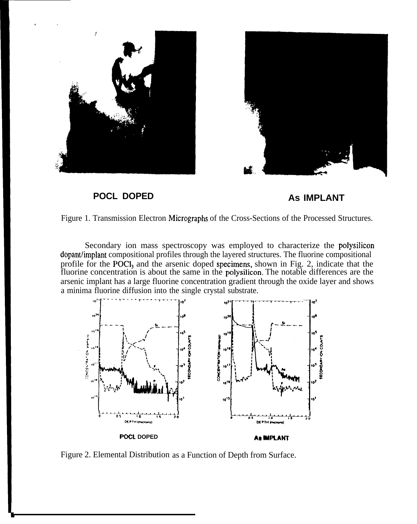





Figure 1. Transmission Electron Micrographs of the Cross-Sections of the Processed Structures.

Secondary ion mass spectroscopy was employed to characterize the polysilicon dopant/irnplant compositional profiles through the layered structures. The fluorine compositional profile for the POCl<sub>3</sub> and the arsenic doped specimens, shown in Fig. 2, indicate that the fluorine concentration is about the same in the polysilicon, The notable differences are the arsenic implant has a large fluorine concentration gradient through the oxide layer and shows a minima fluorine diffusion into the single crystal substrate.



Figure 2. Elemental Distribution as a Function of Depth from Surface.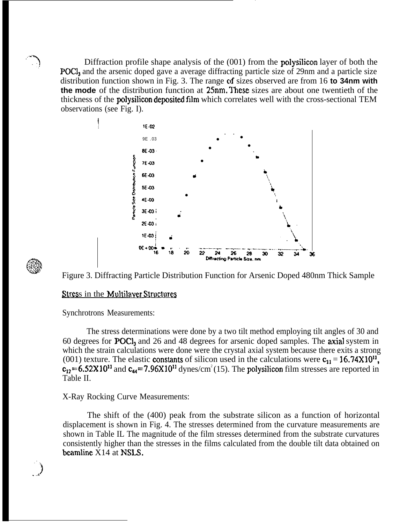Diffraction profile shape analysis of the (001) from the **polysilicon** layer of both the POCl<sub>3</sub> and the arsenic doped gave a average diffracting particle size of 29nm and a particle size distribution function shown in Fig. 3. The range of sizes observed are from 16 **to 34nm with the mode** of the distribution function at 25nm. These sizes are about one twentieth of the thickness of the **polysilicon deposited film** which correlates well with the cross-sectional TEM observations (see Fig. I).





,... . **..4**)

**'>.,.**

Figure 3. Diffracting Particle Distribution Function for Arsenic Doped 480nm Thick Sample

## Stress in the Multilayer Structures

Synchrotrons Measurements:

The stress determinations were done by a two tilt method employing tilt angles of 30 and 60 degrees for POC13 and 26 and 48 degrees for arsenic doped samples. The axial system in which the strain calculations were done were the crystal axial system because there exits a strong (001) texture. The elastic constants of silicon used in the calculations were  $c_{11} = 16.74 \times 10^{11}$ ,  $c_{12}$ =6.52X10<sup>11</sup> and  $c_{44}$ =7.96X10<sup>11</sup> dynes/cm<sup>2</sup>(15). The polysilicon film stresses are reported in Table II.

## X-Ray Rocking Curve Measurements:

The shift of the (400) peak from the substrate silicon as a function of horizontal displacement is shown in Fig. 4. The stresses determined from the curvature measurements are shown in Table IL The magnitude of the film stresses determined from the substrate curvatures consistently higher than the stresses in the films calculated from the double tilt data obtained on beamline X14 at NSLS.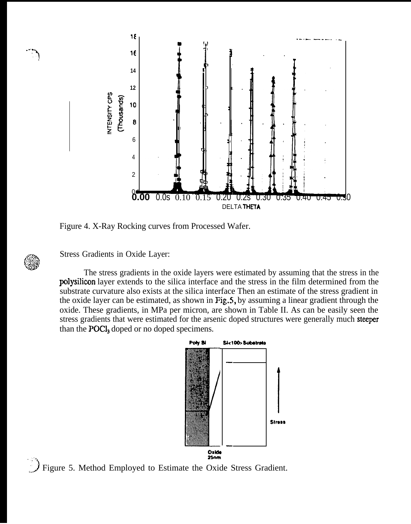

Figure 4. X-Ray Rocking curves from Processed Wafer.

Stress Gradients in Oxide Layer:

The stress gradients in the oxide layers were estimated by assuming that the stress in the polysilicon layer extends to the silica interface and the stress in the film determined from the substrate curvature also exists at the silica interface Then an estimate of the stress gradient in the oxide layer can be estimated, as shown in Fig.5, by assuming a linear gradient through the oxide. These gradients, in MPa per micron, are shown in Table II. As can be easily seen the stress gradients that were estimated for the arsenic doped structures were generally much steeper than the **POCl**, doped or no doped specimens.



Figure 5. Method Employed to Estimate the Oxide Stress Gradient.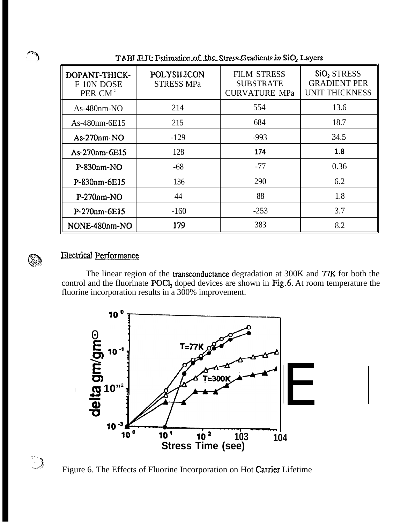| DOPANT-THICK-<br>F 10N DOSE<br>PER $CM-2$ | POLYSILICON<br><b>STRESS MPa</b> | <b>FILM STRESS</b><br><b>SUBSTRATE</b><br><b>CURVATURE MPa</b> | SiO <sub>2</sub> STRESS<br><b>GRADIENT PER</b><br><b>UNIT THICKNESS</b> |
|-------------------------------------------|----------------------------------|----------------------------------------------------------------|-------------------------------------------------------------------------|
| $As-480nm-NO$                             | 214                              | 554                                                            | 13.6                                                                    |
| As-480nm-6E15                             | 215                              | 684                                                            | 18.7                                                                    |
| $As-270nm-NO$                             | $-129$                           | $-993$                                                         | 34.5                                                                    |
| As-270nm-6E15                             | 128                              | 174                                                            | 1.8                                                                     |
| $P-S30nm-NO$                              | $-68$                            | $-77$                                                          | 0.36                                                                    |
| P-830nm-6E15                              | 136                              | 290                                                            | 6.2                                                                     |
| $P-270nm-NO$                              | 44                               | 88                                                             | 1.8                                                                     |
| P-270nm-6E15                              | $-160$                           | $-253$                                                         | 3.7                                                                     |
| NONE-480nm-NO                             | 179                              | 383                                                            | 8.2                                                                     |

TABI E.H. Fstimation of the Stress Gradients in SiO, Layers



## **Electrical Performance**

The linear region of the transconductance degradation at 300K and 77K for both the control and the fluorinate POCl<sub>3</sub> doped devices are shown in Fig.6. At room temperature the fluorine incorporation results in a 300% improvement.





Figure 6. The Effects of Fluorine Incorporation on Hot Carrier Lifetime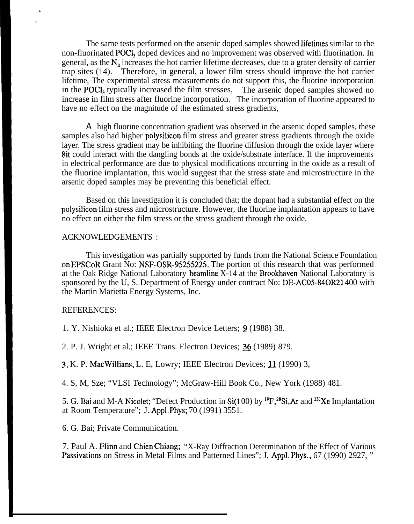The same tests performed on the arsenic doped samples showed lifetimes similar to the non-fluorinated POCI, doped devices and no improvement was observed with fluorination. In general, as the  $N_i$  increases the hot carrier lifetime decreases, due to a grater density of carrier trap sites (14). Therefore, in general, a lower film stress should improve the hot carrier lifetime, The experimental stress measurements do not support this, the fluorine incorporation in the POCI, typically increased the film stresses. The arsenic doped samples showed no increase in film stress after fluorine incorporation. The incorporation of fluorine appeared to have no effect on the magnitude of the estimated stress gradients,

A high fluorine concentration gradient was observed in the arsenic doped samples, these samples also had higher polysilicon film stress and greater stress gradients through the oxide layer. The stress gradient may be inhibiting the fluorine diffusion through the oxide layer where 8it could interact with the dangling bonds at the oxide/substrate interface. If the improvements in electrical performance are due to physical modifications occurring in the oxide as a result of the fluorine implantation, this would suggest that the stress state and microstructure in the arsenic doped samples may be preventing this beneficial effect.

Based on this investigation it is concluded that; the dopant had a substantial effect on the polysilicon film stress and microstructure. However, the fluorine implantation appears to have no effect on either the film stress or the stress gradient through the oxide.

#### ACKNOWLEDGEMENTS :

This investigation was partially supported by funds from the National Science Foundation .on EPSCOR Grant No: NSF-OSR-9S25522S. The portion of this research that was performed at the Oak Ridge National Laboratory beamline  $X-14$  at the Brookhaven National Laboratory is sponsored by the U, S. Department of Energy under contract No: DE-AC05-84OR21400 with the Martin Marietta Energy Systems, Inc.

#### REFERENCES:

. ,

1. Y. Nishioka et al.; IEEE Electron Device Letters; 9 (1988) 38.

2. P. J. Wright et al.; IEEE Trans. Electron Devices;  $36(1989)$  879.

 $3. K. P. MacWilliams, L. E, Lowry; IEEE Electron Devices;  $11 \,(1990)$ 3,$ 

4. S, M, Sze; "VLSI Technology"; McGraw-Hill Book Co., New York (1988) 481.

5. G. Bai and M-A Nicolet; "Defect Production in Si(100) by <sup>19</sup>F,<sup>28</sup>Si,Ar and <sup>131</sup>Xe Implantation at Room Temperature"; J. Appl.Phys; 70 (1991) 3551.

6. G. Bai; Private Communication.

7. Paul A. Flinn and Chien Chiang; "X-Ray Diffraction Determination of the Effect of Various Passivations on Stress in Metal Films and Patterned Lines"; J, Appl. Phys., 67 (1990) 2927, "